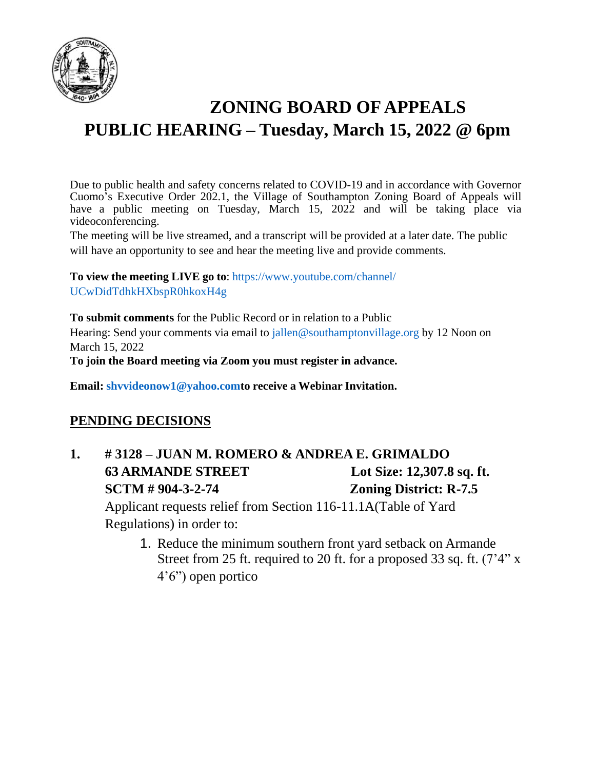

# **ZONING BOARD OF APPEALS PUBLIC HEARING – Tuesday, March 15, 2022 @ 6pm**

Due to public health and safety concerns related to COVID-19 and in accordance with Governor Cuomo's Executive Order 202.1, the Village of Southampton Zoning Board of Appeals will have a public meeting on Tuesday, March 15, 2022 and will be taking place via videoconferencing.

The meeting will be live streamed, and a transcript will be provided at a later date. The public will have an opportunity to see and hear the meeting live and provide comments.

**To view the meeting LIVE go to**: https:/[/www.youtube.com/channel/](http://www.youtube.com/channel/) UCwDidTdhkHXbspR0hkoxH4g

**To submit comments** for the Public Record or in relation to a Public Hearing: Send your comments via email to [jallen@southamptonvillage.org](mailto:jallen@southamptonvillage.org) by 12 Noon on March 15, 2022 **To join the Board meeting via Zoom you must register in advance.**

**Email: [shvvideonow1@yahoo.comto](mailto:shvvideonow1@yahoo.comto) receive a Webinar Invitation.**

#### **PENDING DECISIONS**

**1. # 3128 – JUAN M. ROMERO & ANDREA E. GRIMALDO 63** ARMANDE STREET Lot Size: 12,307.8 sq. ft. **SCTM # 904-3-2-74 Zoning District: R-7.5**

Applicant requests relief from Section 116-11.1A(Table of Yard Regulations) in order to:

1. Reduce the minimum southern front yard setback on Armande Street from 25 ft. required to 20 ft. for a proposed 33 sq. ft. (7'4" x 4'6") open portico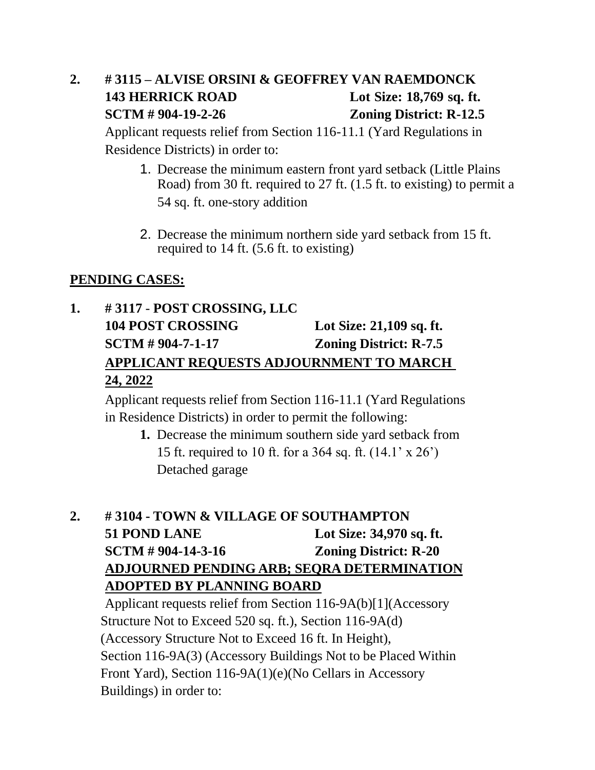## **2. # 3115 – ALVISE ORSINI & GEOFFREY VAN RAEMDONCK 143 HERRICK ROAD Lot Size: 18,769 sq. ft. SCTM # 904-19-2-26 Zoning District: R-12.5**

Applicant requests relief from Section 116-11.1 (Yard Regulations in Residence Districts) in order to:

- 1. Decrease the minimum eastern front yard setback (Little Plains Road) from 30 ft. required to 27 ft. (1.5 ft. to existing) to permit a 54 sq. ft. one-story addition
- 2. Decrease the minimum northern side yard setback from 15 ft. required to 14 ft. (5.6 ft. to existing)

#### **PENDING CASES:**

## **1. # 3117** - **POST CROSSING, LLC 104 POST CROSSING Lot Size: 21,109 sq. ft. SCTM # 904-7-1-17 Zoning District: R-7.5 APPLICANT REQUESTS ADJOURNMENT TO MARCH 24, 2022**

Applicant requests relief from Section 116-11.1 (Yard Regulations in Residence Districts) in order to permit the following:

**1.** Decrease the minimum southern side yard setback from 15 ft. required to 10 ft. for a 364 sq. ft. (14.1' x 26') Detached garage

### **2. # 3104 - TOWN & VILLAGE OF SOUTHAMPTON 51 POND LANE Lot Size: 34,970 sq. ft. SCTM # 904-14-3-16 Zoning District: R-20 ADJOURNED PENDING ARB; SEQRA DETERMINATION ADOPTED BY PLANNING BOARD**

Applicant requests relief from Section 116-9A(b)[1](Accessory Structure Not to Exceed 520 sq. ft.), Section 116-9A(d) (Accessory Structure Not to Exceed 16 ft. In Height), Section 116-9A(3) (Accessory Buildings Not to be Placed Within Front Yard), Section 116-9A(1)(e)(No Cellars in Accessory Buildings) in order to: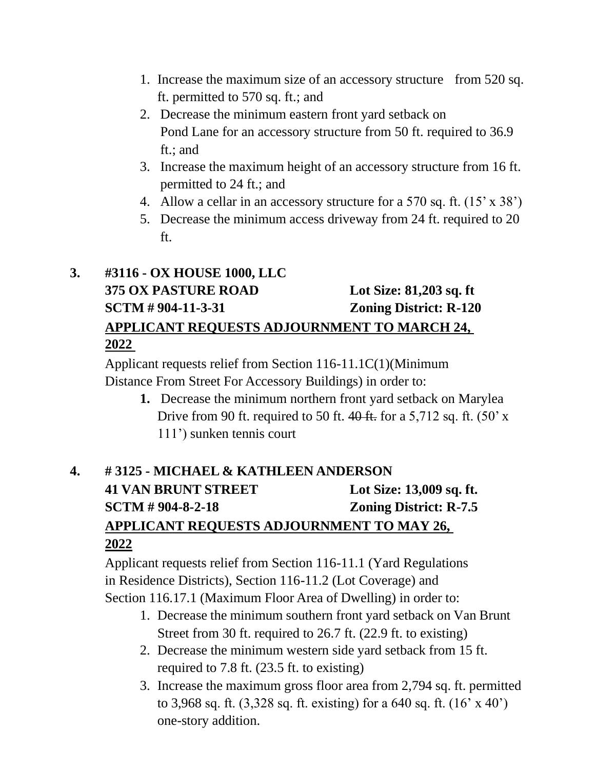- 1. Increase the maximum size of an accessory structure from 520 sq. ft. permitted to 570 sq. ft.; and
- 2. Decrease the minimum eastern front yard setback on Pond Lane for an accessory structure from 50 ft. required to 36.9 ft.; and
- 3. Increase the maximum height of an accessory structure from 16 ft. permitted to 24 ft.; and
- 4. Allow a cellar in an accessory structure for a 570 sq. ft. (15' x 38')
- 5. Decrease the minimum access driveway from 24 ft. required to 20 ft.

## **3. #3116 - OX HOUSE 1000, LLC 375 OX PASTURE ROAD Lot Size: 81,203 sq. ft SCTM # 904-11-3-31 Zoning District: R-120 APPLICANT REQUESTS ADJOURNMENT TO MARCH 24, 2022**

Applicant requests relief from Section 116-11.1C(1)(Minimum Distance From Street For Accessory Buildings) in order to:

> **1.** Decrease the minimum northern front yard setback on Marylea Drive from 90 ft. required to 50 ft.  $40$  ft. for a 5,712 sq. ft. (50' x 111') sunken tennis court

## **4. # 3125 - MICHAEL & KATHLEEN ANDERSON 41 VAN BRUNT STREET Lot Size: 13,009 sq. ft. SCTM # 904-8-2-18 Zoning District: R-7.5 APPLICANT REQUESTS ADJOURNMENT TO MAY 26, 2022**

Applicant requests relief from Section 116-11.1 (Yard Regulations in Residence Districts), Section 116-11.2 (Lot Coverage) and Section 116.17.1 (Maximum Floor Area of Dwelling) in order to:

- 1. Decrease the minimum southern front yard setback on Van Brunt Street from 30 ft. required to 26.7 ft. (22.9 ft. to existing)
- 2. Decrease the minimum western side yard setback from 15 ft. required to 7.8 ft. (23.5 ft. to existing)
- 3. Increase the maximum gross floor area from 2,794 sq. ft. permitted to 3,968 sq. ft. (3,328 sq. ft. existing) for a 640 sq. ft. (16' x 40') one-story addition.